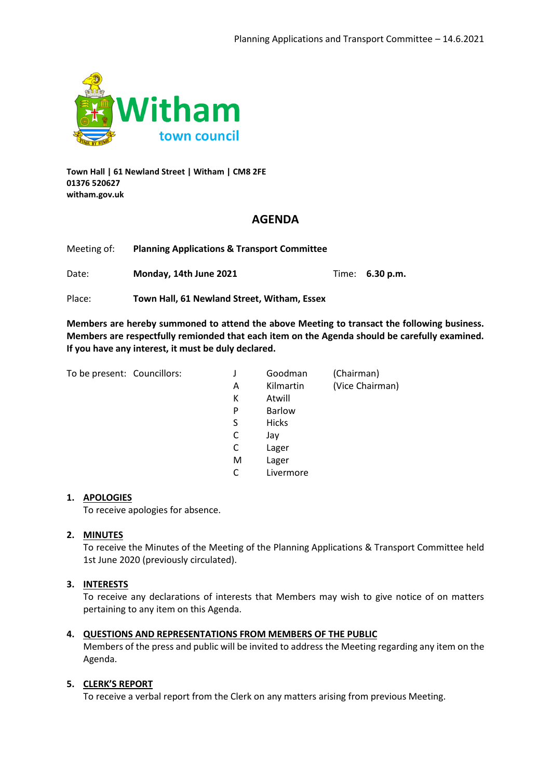

**Town Hall | 61 Newland Street | Witham | CM8 2FE 01376 520627 witham.gov.uk**

### **AGENDA**

| Meeting of: | <b>Planning Applications &amp; Transport Committee</b> |  |                        |
|-------------|--------------------------------------------------------|--|------------------------|
| Date:       | Monday, 14th June 2021                                 |  | Time: <b>6.30 p.m.</b> |

Place: **Town Hall, 61 Newland Street, Witham, Essex**

**Members are hereby summoned to attend the above Meeting to transact the following business. Members are respectfully remionded that each item on the Agenda should be carefully examined. If you have any interest, it must be duly declared.**

To be present: Councillors:

| J | Goodman       | (Chairman)      |
|---|---------------|-----------------|
| Α | Kilmartin     | (Vice Chairman) |
| Κ | Atwill        |                 |
| P | <b>Barlow</b> |                 |
| S | <b>Hicks</b>  |                 |
| C | Jay           |                 |
| C | Lager         |                 |
| M | Lager         |                 |
| C | Livermore     |                 |

#### **1. APOLOGIES**

To receive apologies for absence.

### **2. MINUTES**

To receive the Minutes of the Meeting of the Planning Applications & Transport Committee held 1st June 2020 (previously circulated).

### **3. INTERESTS**

To receive any declarations of interests that Members may wish to give notice of on matters pertaining to any item on this Agenda.

### **4. QUESTIONS AND REPRESENTATIONS FROM MEMBERS OF THE PUBLIC**

Members of the press and public will be invited to address the Meeting regarding any item on the Agenda.

### **5. CLERK'S REPORT**

To receive a verbal report from the Clerk on any matters arising from previous Meeting.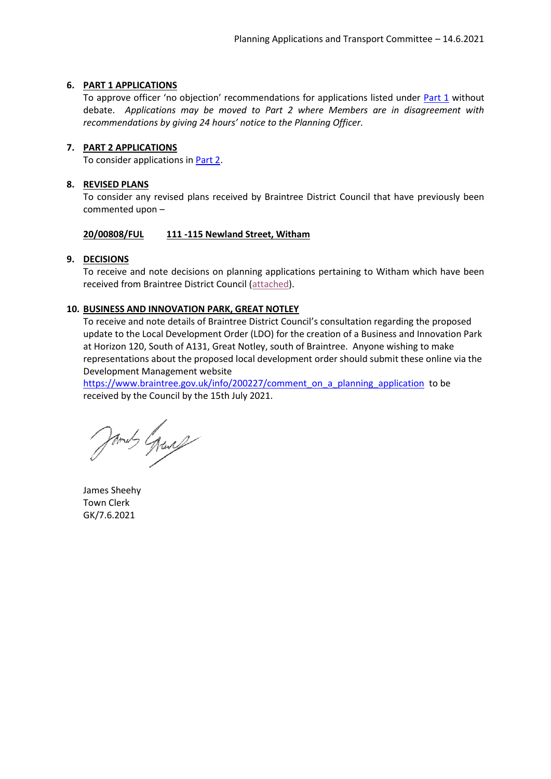### <span id="page-1-1"></span>**6. PART 1 APPLICATIONS**

To approve officer 'no objection' recommendations for applications listed under [Part 1](#page-2-0) without debate. *Applications may be moved to Part 2 where Members are in disagreement with recommendations by giving 24 hours' notice to the Planning Officer.*

### <span id="page-1-0"></span>**7. PART 2 APPLICATIONS**

To consider applications i[n Part 2.](#page-3-0)

### **8. REVISED PLANS**

To consider any revised plans received by Braintree District Council that have previously been commented upon –

### **20/00808/FUL 111 -115 Newland Street, Witham**

### **9. DECISIONS**

To receive and note decisions on planning applications pertaining to Witham which have been received from Braintree District Council [\(attached\)](#page-10-0).

### **10. BUSINESS AND INNOVATION PARK, GREAT NOTLEY**

To receive and note details of Braintree District Council's consultation regarding the proposed update to the Local Development Order (LDO) for the creation of a Business and Innovation Park at Horizon 120, South of A131, Great Notley, south of Braintree. Anyone wishing to make representations about the proposed local development order should submit these online via the Development Management website

[https://www.braintree.gov.uk/info/200227/comment\\_on\\_a\\_planning\\_application](https://www.braintree.gov.uk/info/200227/comment_on_a_planning_application)\_to be received by the Council by the 15th July 2021.

James Grand

James Sheehy Town Clerk GK/7.6.2021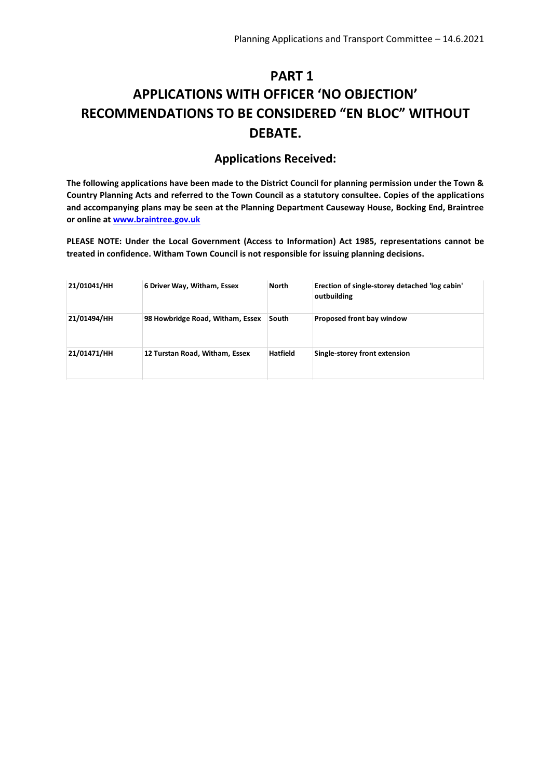## <span id="page-2-0"></span>**PART 1 APPLICATIONS WITH OFFICER 'NO OBJECTION' RECOMMENDATIONS TO BE CONSIDERED "EN BLOC" WITHOUT DEBATE.**

### **Applications Received:**

**The following applications have been made to the District Council for planning permission under the Town & Country Planning Acts and referred to the Town Council as a statutory consultee. Copies of the applications and accompanying plans may be seen at the Planning Department Causeway House, Bocking End, Braintree or online at [www.braintree.gov.uk](http://www.braintree.gov.uk/)**

**PLEASE NOTE: Under the Local Government (Access to Information) Act 1985, representations cannot be treated in confidence. Witham Town Council is not responsible for issuing planning decisions.**

| 21/01041/HH | 6 Driver Way, Witham, Essex      | <b>North</b>    | Erection of single-storey detached 'log cabin'<br>outbuilding |
|-------------|----------------------------------|-----------------|---------------------------------------------------------------|
| 21/01494/HH | 98 Howbridge Road, Witham, Essex | South           | Proposed front bay window                                     |
| 21/01471/HH | 12 Turstan Road, Witham, Essex   | <b>Hatfield</b> | Single-storey front extension                                 |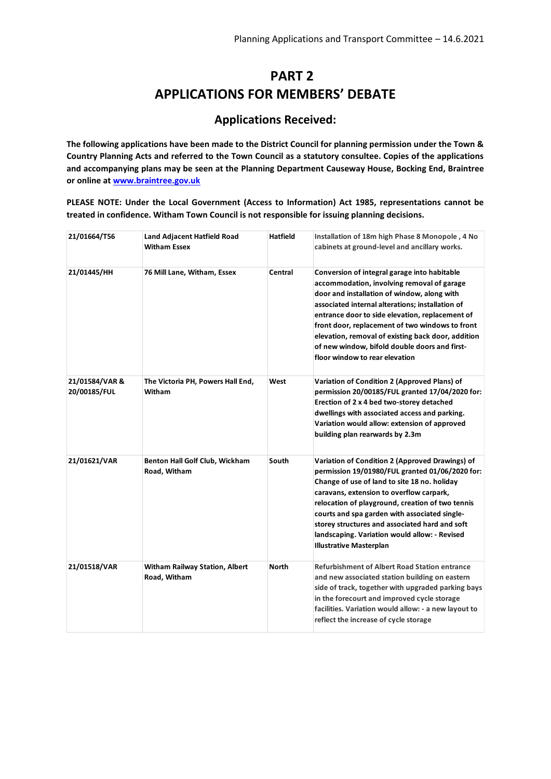## **PART 2 APPLICATIONS FOR MEMBERS' DEBATE**

### **Applications Received:**

<span id="page-3-0"></span>**The following applications have been made to the District Council for planning permission under the Town & Country Planning Acts and referred to the Town Council as a statutory consultee. Copies of the applications and accompanying plans may be seen at the Planning Department Causeway House, Bocking End, Braintree or online at [www.braintree.gov.uk](http://www.braintree.gov.uk/)**

**PLEASE NOTE: Under the Local Government (Access to Information) Act 1985, representations cannot be treated in confidence. Witham Town Council is not responsible for issuing planning decisions.**

| 21/01664/T56                   | Land Adjacent Hatfield Road<br><b>Witham Essex</b> | <b>Hatfield</b> | Installation of 18m high Phase 8 Monopole, 4 No<br>cabinets at ground-level and ancillary works.                                                                                                                                                                                                                                                                                                                                             |
|--------------------------------|----------------------------------------------------|-----------------|----------------------------------------------------------------------------------------------------------------------------------------------------------------------------------------------------------------------------------------------------------------------------------------------------------------------------------------------------------------------------------------------------------------------------------------------|
| 21/01445/HH                    | 76 Mill Lane, Witham, Essex                        | Central         | Conversion of integral garage into habitable<br>accommodation, involving removal of garage<br>door and installation of window, along with<br>associated internal alterations; installation of<br>entrance door to side elevation, replacement of<br>front door, replacement of two windows to front<br>elevation, removal of existing back door, addition<br>of new window, bifold double doors and first-<br>floor window to rear elevation |
| 21/01584/VAR &<br>20/00185/FUL | The Victoria PH, Powers Hall End,<br>Witham        | West            | <b>Variation of Condition 2 (Approved Plans) of</b><br>permission 20/00185/FUL granted 17/04/2020 for:<br>Erection of 2 x 4 bed two-storey detached<br>dwellings with associated access and parking.<br>Variation would allow: extension of approved<br>building plan rearwards by 2.3m                                                                                                                                                      |
| 21/01621/VAR                   | Benton Hall Golf Club, Wickham<br>Road, Witham     | South           | Variation of Condition 2 (Approved Drawings) of<br>permission 19/01980/FUL granted 01/06/2020 for:<br>Change of use of land to site 18 no. holiday<br>caravans, extension to overflow carpark,<br>relocation of playground, creation of two tennis<br>courts and spa garden with associated single-<br>storey structures and associated hard and soft<br>landscaping. Variation would allow: - Revised<br><b>Illustrative Masterplan</b>     |
| 21/01518/VAR                   | Witham Railway Station, Albert<br>Road, Witham     | <b>North</b>    | <b>Refurbishment of Albert Road Station entrance</b><br>and new associated station building on eastern<br>side of track, together with upgraded parking bays<br>in the forecourt and improved cycle storage<br>facilities. Variation would allow: - a new layout to<br>reflect the increase of cycle storage                                                                                                                                 |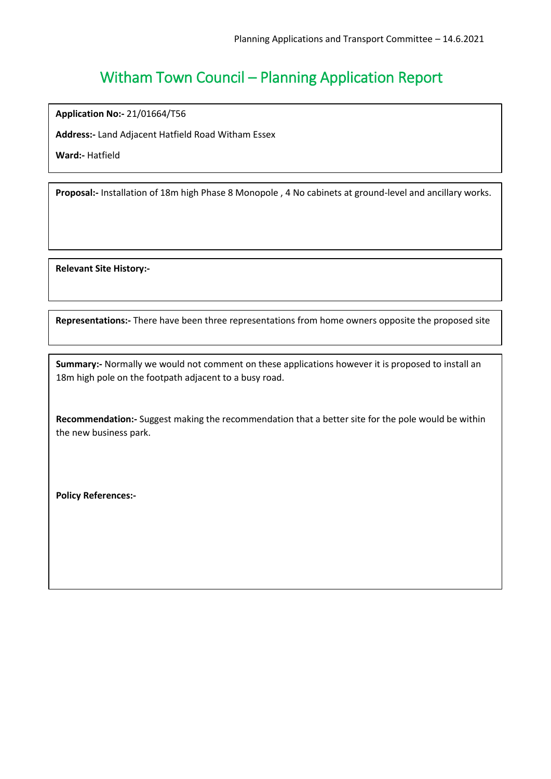**Application No:-** 21/01664/T56

**Address:-** Land Adjacent Hatfield Road Witham Essex

**Ward:-** Hatfield

**Proposal:-** Installation of 18m high Phase 8 Monopole , 4 No cabinets at ground-level and ancillary works.

**Relevant Site History:-**

**Representations:-** There have been three representations from home owners opposite the proposed site

**Summary:-** Normally we would not comment on these applications however it is proposed to install an 18m high pole on the footpath adjacent to a busy road.

**Recommendation:-** Suggest making the recommendation that a better site for the pole would be within the new business park.

**Policy References:-**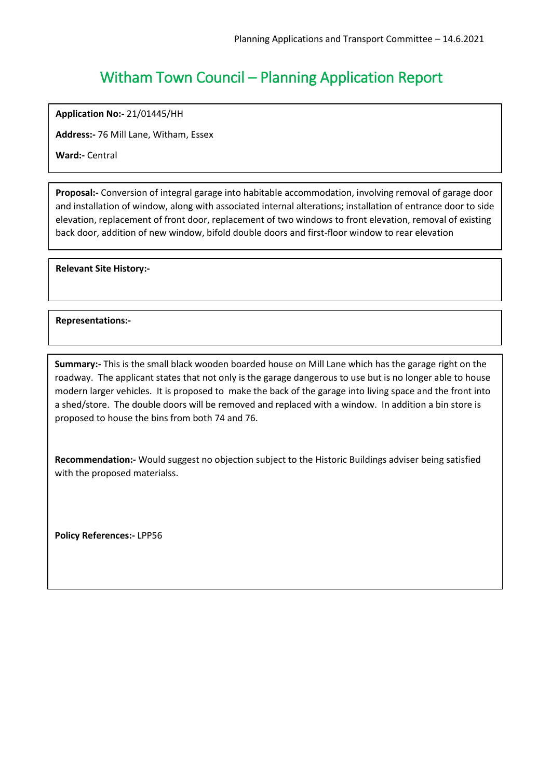**Application No:-** 21/01445/HH

**Address:-** 76 Mill Lane, Witham, Essex

**Ward:-** Central

**Proposal:-** Conversion of integral garage into habitable accommodation, involving removal of garage door and installation of window, along with associated internal alterations; installation of entrance door to side elevation, replacement of front door, replacement of two windows to front elevation, removal of existing back door, addition of new window, bifold double doors and first-floor window to rear elevation

**Relevant Site History:-**

**Representations:-**

**Summary:-** This is the small black wooden boarded house on Mill Lane which has the garage right on the roadway. The applicant states that not only is the garage dangerous to use but is no longer able to house modern larger vehicles. It is proposed to make the back of the garage into living space and the front into a shed/store. The double doors will be removed and replaced with a window. In addition a bin store is proposed to house the bins from both 74 and 76.

**Recommendation:-** Would suggest no objection subject to the Historic Buildings adviser being satisfied with the proposed materialss.

**Policy References:-** LPP56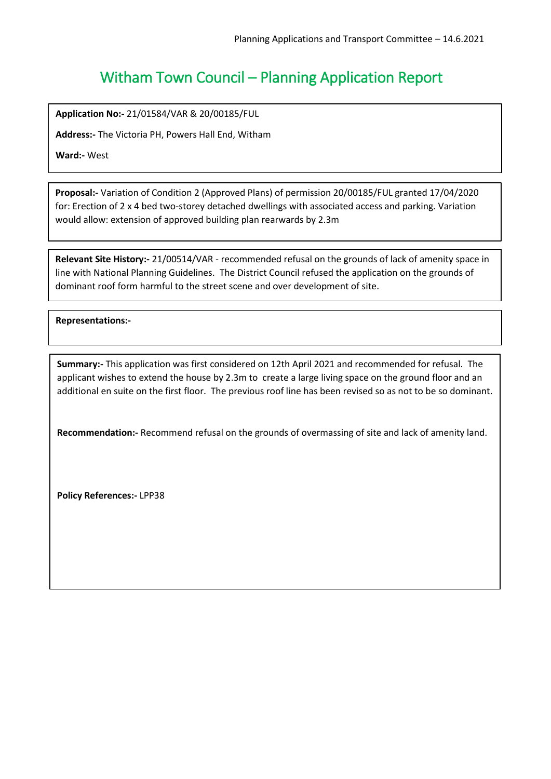**Application No:-** 21/01584/VAR & 20/00185/FUL

**Address:-** The Victoria PH, Powers Hall End, Witham

**Ward:-** West

**Proposal:-** Variation of Condition 2 (Approved Plans) of permission 20/00185/FUL granted 17/04/2020 for: Erection of 2 x 4 bed two-storey detached dwellings with associated access and parking. Variation would allow: extension of approved building plan rearwards by 2.3m

**Relevant Site History:-** 21/00514/VAR - recommended refusal on the grounds of lack of amenity space in line with National Planning Guidelines. The District Council refused the application on the grounds of dominant roof form harmful to the street scene and over development of site.

 $\overline{a}$ **Representations:-**

**Summary:-** This application was first considered on 12th April 2021 and recommended for refusal. The applicant wishes to extend the house by 2.3m to create a large living space on the ground floor and an additional en suite on the first floor. The previous roof line has been revised so as not to be so dominant.

**Recommendation:-** Recommend refusal on the grounds of overmassing of site and lack of amenity land.

**Policy References:-** LPP38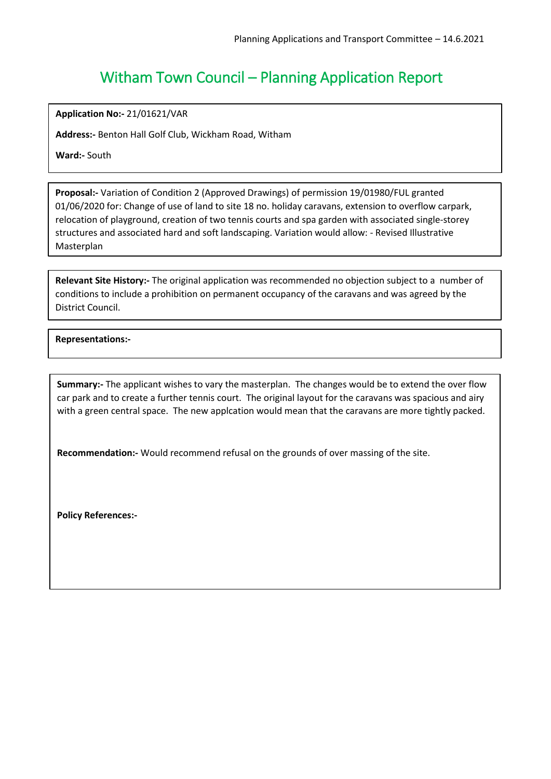**Application No:-** 21/01621/VAR

**Address:-** Benton Hall Golf Club, Wickham Road, Witham

**Ward:-** South

**Proposal:-** Variation of Condition 2 (Approved Drawings) of permission 19/01980/FUL granted 01/06/2020 for: Change of use of land to site 18 no. holiday caravans, extension to overflow carpark, relocation of playground, creation of two tennis courts and spa garden with associated single-storey structures and associated hard and soft landscaping. Variation would allow: - Revised Illustrative Masterplan

**Relevant Site History:-** The original application was recommended no objection subject to a number of conditions to include a prohibition on permanent occupancy of the caravans and was agreed by the District Council.

 $\overline{a}$ **Representations:-**

**Summary:-** The applicant wishes to vary the masterplan. The changes would be to extend the over flow car park and to create a further tennis court. The original layout for the caravans was spacious and airy with a green central space. The new applcation would mean that the caravans are more tightly packed.

**Recommendation:-** Would recommend refusal on the grounds of over massing of the site.

**Policy References:-**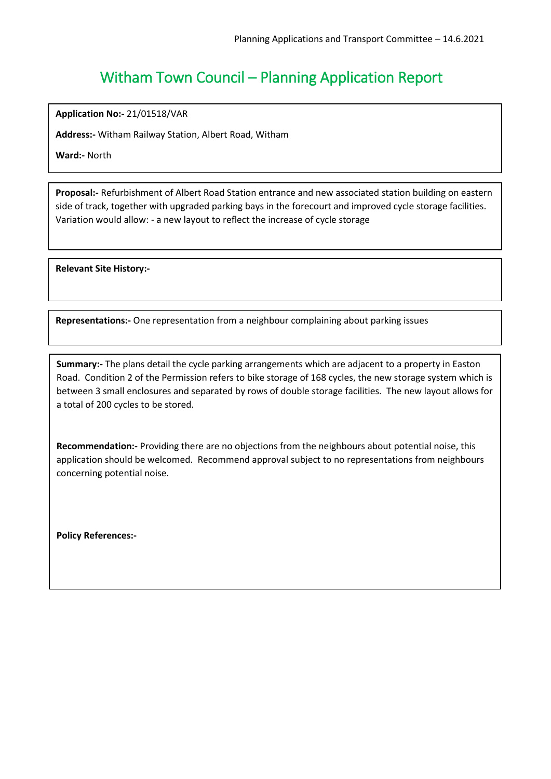**Application No:-** 21/01518/VAR

**Address:-** Witham Railway Station, Albert Road, Witham

**Ward:-** North

**Proposal:-** Refurbishment of Albert Road Station entrance and new associated station building on eastern side of track, together with upgraded parking bays in the forecourt and improved cycle storage facilities. Variation would allow: - a new layout to reflect the increase of cycle storage

**Relevant Site History:-**

**Representations:-** One representation from a neighbour complaining about parking issues

**Summary:-** The plans detail the cycle parking arrangements which are adjacent to a property in Easton Road. Condition 2 of the Permission refers to bike storage of 168 cycles, the new storage system which is between 3 small enclosures and separated by rows of double storage facilities. The new layout allows for a total of 200 cycles to be stored.

**Recommendation:-** Providing there are no objections from the neighbours about potential noise, this application should be welcomed. Recommend approval subject to no representations from neighbours concerning potential noise.

**Policy References:-**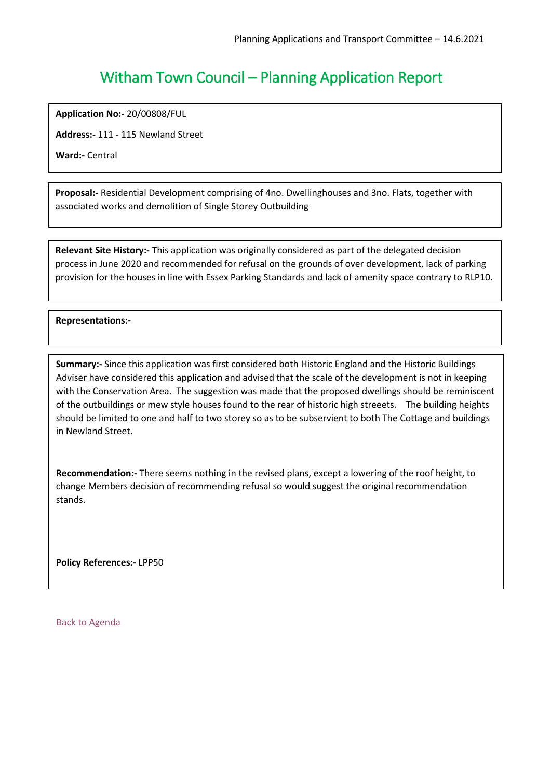**Application No:-** 20/00808/FUL

**Address:-** 111 - 115 Newland Street

**Ward:-** Central

**Proposal:-** Residential Development comprising of 4no. Dwellinghouses and 3no. Flats, together with associated works and demolition of Single Storey Outbuilding

**Relevant Site History:-** This application was originally considered as part of the delegated decision process in June 2020 and recommended for refusal on the grounds of over development, lack of parking provision for the houses in line with Essex Parking Standards and lack of amenity space contrary to RLP10.

### **Representations:-**

ׇ֡

**Summary:-** Since this application was first considered both Historic England and the Historic Buildings Adviser have considered this application and advised that the scale of the development is not in keeping with the Conservation Area. The suggestion was made that the proposed dwellings should be reminiscent of the outbuildings or mew style houses found to the rear of historic high streeets. The building heights should be limited to one and half to two storey so as to be subservient to both The Cottage and buildings in Newland Street.

**Recommendation:-** There seems nothing in the revised plans, except a lowering of the roof height, to change Members decision of recommending refusal so would suggest the original recommendation stands.

**Policy References:-** LPP50

[Back to Agenda](#page-1-0)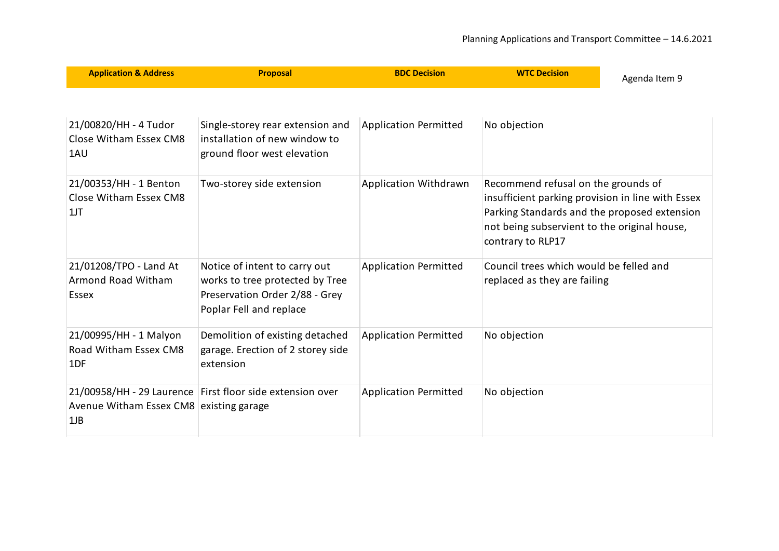<span id="page-10-0"></span>

| <b>Application &amp; Address</b>                       | <b>Proposal</b>                                                                                                               | <b>BDC Decision</b>          | <b>WTC Decision</b>                                                                                                                                                                                           | Agenda Item 9 |
|--------------------------------------------------------|-------------------------------------------------------------------------------------------------------------------------------|------------------------------|---------------------------------------------------------------------------------------------------------------------------------------------------------------------------------------------------------------|---------------|
| 21/00820/HH - 4 Tudor<br>Close Witham Essex CM8<br>1AU | Single-storey rear extension and<br>installation of new window to<br>ground floor west elevation                              | Application Permitted        | No objection                                                                                                                                                                                                  |               |
| 21/00353/HH - 1 Benton<br>Close Witham Essex CM8<br>1J | Two-storey side extension                                                                                                     | Application Withdrawn        | Recommend refusal on the grounds of<br>insufficient parking provision in line with Essex<br>Parking Standards and the proposed extension<br>not being subservient to the original house,<br>contrary to RLP17 |               |
| 21/01208/TPO - Land At<br>Armond Road Witham<br>Essex  | Notice of intent to carry out<br>works to tree protected by Tree<br>Preservation Order 2/88 - Grey<br>Poplar Fell and replace | <b>Application Permitted</b> | Council trees which would be felled and<br>replaced as they are failing                                                                                                                                       |               |
| 21/00995/HH - 1 Malyon<br>Road Witham Essex CM8<br>1DF | Demolition of existing detached<br>garage. Erection of 2 storey side<br>extension                                             | <b>Application Permitted</b> | No objection                                                                                                                                                                                                  |               |
| Avenue Witham Essex CM8 existing garage<br>$1$ J $B$   | 21/00958/HH - 29 Laurence First floor side extension over                                                                     | <b>Application Permitted</b> | No objection                                                                                                                                                                                                  |               |